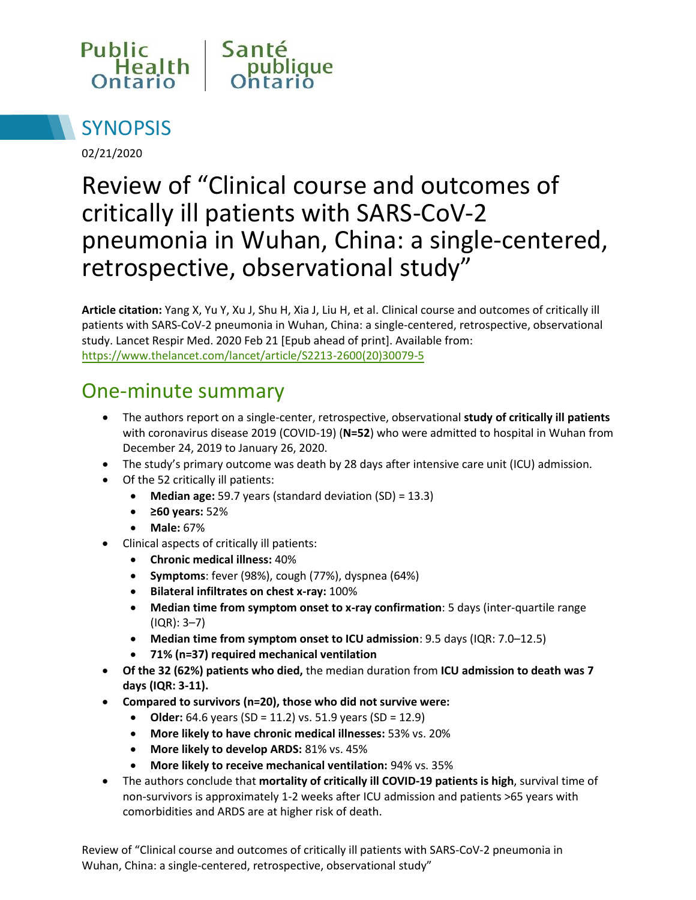



02/21/2020

# Review of "Clinical course and outcomes of critically ill patients with SARS-CoV-2 pneumonia in Wuhan, China: a single-centered, retrospective, observational study"

**Article citation:** Yang X, Yu Y, Xu J, Shu H, Xia J, Liu H, et al. Clinical course and outcomes of critically ill patients with SARS-CoV-2 pneumonia in Wuhan, China: a single-centered, retrospective, observational study. Lancet Respir Med. 2020 Feb 21 [Epub ahead of print]. Available from: [https://www.thelancet.com/lancet/article/S2213-2600\(20\)30079-5](https://www.thelancet.com/lancet/article/S2213-2600(20)30079-5)

### One-minute summary

- The authors report on a single-center, retrospective, observational **study of critically ill patients** with coronavirus disease 2019 (COVID-19) (**N=52**) who were admitted to hospital in Wuhan from December 24, 2019 to January 26, 2020.
- The study's primary outcome was death by 28 days after intensive care unit (ICU) admission.
- Of the 52 critically ill patients:
	- **Median age:** 59.7 years (standard deviation (SD) = 13.3)
	- **≥60 years:** 52%
	- **Male:** 67%
- Clinical aspects of critically ill patients:
	- **Chronic medical illness:** 40%
	- **Symptoms**: fever (98%), cough (77%), dyspnea (64%)
	- **Bilateral infiltrates on chest x-ray:** 100%
	- **Median time from symptom onset to x-ray confirmation**: 5 days (inter-quartile range (IQR): 3–7)
	- **Median time from symptom onset to ICU admission**: 9.5 days (IQR: 7.0–12.5)
	- **71% (n=37) required mechanical ventilation**
- **Of the 32 (62%) patients who died,** the median duration from **ICU admission to death was 7 days (IQR: 3-11).**
- **Compared to survivors (n=20), those who did not survive were:**
	- **Older:** 64.6 years (SD = 11.2) vs. 51.9 years (SD = 12.9)
	- **More likely to have chronic medical illnesses:** 53% vs. 20%
	- **More likely to develop ARDS:** 81% vs. 45%
	- **More likely to receive mechanical ventilation:** 94% vs. 35%
- The authors conclude that **mortality of critically ill COVID-19 patients is high**, survival time of non-survivors is approximately 1-2 weeks after ICU admission and patients >65 years with comorbidities and ARDS are at higher risk of death.

Review of "Clinical course and outcomes of critically ill patients with SARS-CoV-2 pneumonia in Wuhan, China: a single-centered, retrospective, observational study"